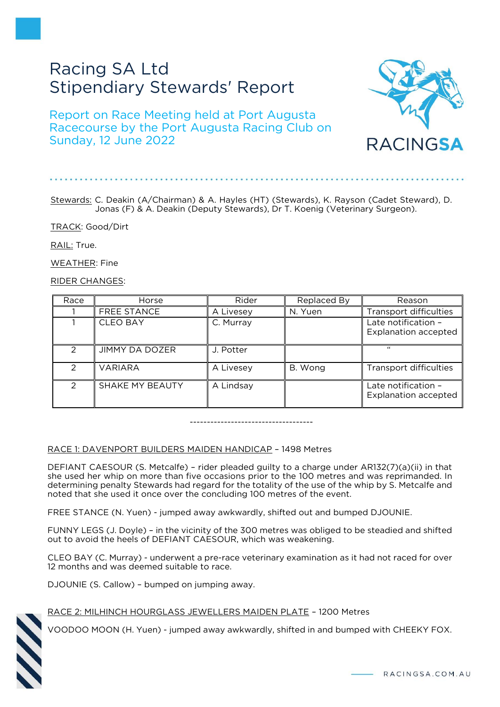# Racing SA Ltd Stipendiary Stewards' Report

# Report on Race Meeting held at Port Augusta Racecourse by the Port Augusta Racing Club on Sunday, 12 June 2022



# Stewards: C. Deakin (A/Chairman) & A. Hayles (HT) (Stewards), K. Rayson (Cadet Steward), D. Jonas (F) & A. Deakin (Deputy Stewards), Dr T. Koenig (Veterinary Surgeon).

TRACK: Good/Dirt

RAIL: True.

WEATHER: Fine

RIDER CHANGES:

| Race          | Horse                 | Rider     | Replaced By | Reason                                             |
|---------------|-----------------------|-----------|-------------|----------------------------------------------------|
|               | <b>FREE STANCE</b>    | A Livesey | N. Yuen     | Transport difficulties                             |
|               | <b>CLEO BAY</b>       | C. Murray |             | Late notification -<br><b>Explanation accepted</b> |
| $\mathcal{P}$ | <b>JIMMY DA DOZER</b> | J. Potter |             | $\epsilon$                                         |
| $\mathcal{P}$ | <b>VARIARA</b>        | A Livesey | B. Wong     | Transport difficulties                             |
| $\mathcal{P}$ | SHAKE MY BEAUTY       | A Lindsay |             | Late notification -<br><b>Explanation accepted</b> |

------------------------------------

# RACE 1: DAVENPORT BUILDERS MAIDEN HANDICAP – 1498 Metres

DEFIANT CAESOUR (S. Metcalfe) – rider pleaded guilty to a charge under AR132(7)(a)(ii) in that she used her whip on more than five occasions prior to the 100 metres and was reprimanded. In determining penalty Stewards had regard for the totality of the use of the whip by S. Metcalfe and noted that she used it once over the concluding 100 metres of the event.

FREE STANCE (N. Yuen) - jumped away awkwardly, shifted out and bumped DJOUNIE.

FUNNY LEGS (J. Doyle) – in the vicinity of the 300 metres was obliged to be steadied and shifted out to avoid the heels of DEFIANT CAESOUR, which was weakening.

CLEO BAY (C. Murray) - underwent a pre-race veterinary examination as it had not raced for over 12 months and was deemed suitable to race.

DJOUNIE (S. Callow) – bumped on jumping away.



# RACE 2: MILHINCH HOURGLASS JEWELLERS MAIDEN PLATE – 1200 Metres

VOODOO MOON (H. Yuen) - jumped away awkwardly, shifted in and bumped with CHEEKY FOX.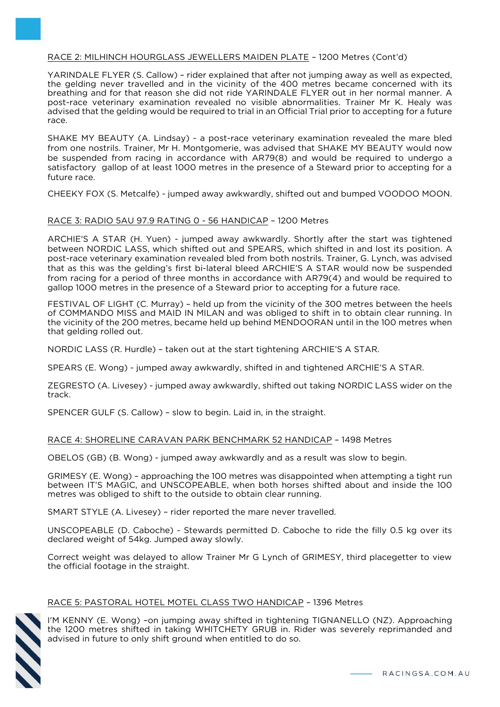# RACE 2: MILHINCH HOURGLASS JEWELLERS MAIDEN PLATE – 1200 Metres (Cont'd)

YARINDALE FLYER (S. Callow) – rider explained that after not jumping away as well as expected, the gelding never travelled and in the vicinity of the 400 metres became concerned with its breathing and for that reason she did not ride YARINDALE FLYER out in her normal manner. A post-race veterinary examination revealed no visible abnormalities. Trainer Mr K. Healy was advised that the gelding would be required to trial in an Official Trial prior to accepting for a future race.

SHAKE MY BEAUTY (A. Lindsay) - a post-race veterinary examination revealed the mare bled from one nostrils. Trainer, Mr H. Montgomerie, was advised that SHAKE MY BEAUTY would now be suspended from racing in accordance with AR79(8) and would be required to undergo a satisfactory gallop of at least 1000 metres in the presence of a Steward prior to accepting for a future race.

CHEEKY FOX (S. Metcalfe) - jumped away awkwardly, shifted out and bumped VOODOO MOON.

#### RACE 3: RADIO 5AU 97.9 RATING 0 - 56 HANDICAP – 1200 Metres

ARCHIE'S A STAR (H. Yuen) - jumped away awkwardly. Shortly after the start was tightened between NORDIC LASS, which shifted out and SPEARS, which shifted in and lost its position. A post-race veterinary examination revealed bled from both nostrils. Trainer, G. Lynch, was advised that as this was the gelding's first bi-lateral bleed ARCHIE'S A STAR would now be suspended from racing for a period of three months in accordance with AR79(4) and would be required to gallop 1000 metres in the presence of a Steward prior to accepting for a future race.

FESTIVAL OF LIGHT (C. Murray) – held up from the vicinity of the 300 metres between the heels of COMMANDO MISS and MAID IN MILAN and was obliged to shift in to obtain clear running. In the vicinity of the 200 metres, became held up behind MENDOORAN until in the 100 metres when that gelding rolled out.

NORDIC LASS (R. Hurdle) – taken out at the start tightening ARCHIE'S A STAR.

SPEARS (E. Wong) - jumped away awkwardly, shifted in and tightened ARCHIE'S A STAR.

ZEGRESTO (A. Livesey) - jumped away awkwardly, shifted out taking NORDIC LASS wider on the track.

SPENCER GULF (S. Callow) – slow to begin. Laid in, in the straight.

# RACE 4: SHORELINE CARAVAN PARK BENCHMARK 52 HANDICAP – 1498 Metres

OBELOS (GB) (B. Wong) - jumped away awkwardly and as a result was slow to begin.

GRIMESY (E. Wong) – approaching the 100 metres was disappointed when attempting a tight run between IT'S MAGIC, and UNSCOPEABLE, when both horses shifted about and inside the 100 metres was obliged to shift to the outside to obtain clear running.

SMART STYLE (A. Livesey) – rider reported the mare never travelled.

UNSCOPEABLE (D. Caboche) - Stewards permitted D. Caboche to ride the filly 0.5 kg over its declared weight of 54kg. Jumped away slowly.

Correct weight was delayed to allow Trainer Mr G Lynch of GRIMESY, third placegetter to view the official footage in the straight.

#### RACE 5: PASTORAL HOTEL MOTEL CLASS TWO HANDICAP – 1396 Metres

I'M KENNY (E. Wong) –on jumping away shifted in tightening TIGNANELLO (NZ). Approaching the 1200 metres shifted in taking WHITCHETY GRUB in. Rider was severely reprimanded and advised in future to only shift ground when entitled to do so.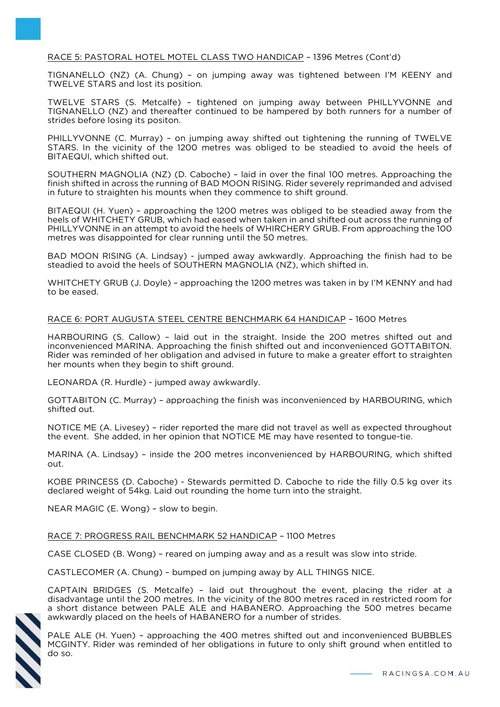# RACE 5: PASTORAL HOTEL MOTEL CLASS TWO HANDICAP – 1396 Metres (Cont'd)

TIGNANELLO (NZ) (A. Chung) – on jumping away was tightened between I'M KEENY and TWELVE STARS and lost its position.

TWELVE STARS (S. Metcalfe) – tightened on jumping away between PHILLYVONNE and TIGNANELLO (NZ) and thereafter continued to be hampered by both runners for a number of strides before losing its positon.

PHILLYVONNE (C. Murray) – on jumping away shifted out tightening the running of TWELVE STARS. In the vicinity of the 1200 metres was obliged to be steadied to avoid the heels of BITAEQUI, which shifted out.

SOUTHERN MAGNOLIA (NZ) (D. Caboche) – laid in over the final 100 metres. Approaching the finish shifted in across the running of BAD MOON RISING. Rider severely reprimanded and advised in future to straighten his mounts when they commence to shift ground.

BITAEQUI (H. Yuen) – approaching the 1200 metres was obliged to be steadied away from the heels of WHITCHETY GRUB, which had eased when taken in and shifted out across the running of PHILLYVONNE in an attempt to avoid the heels of WHIRCHERY GRUB. From approaching the 100 metres was disappointed for clear running until the 50 metres.

BAD MOON RISING (A. Lindsay) - jumped away awkwardly. Approaching the finish had to be steadied to avoid the heels of SOUTHERN MAGNOLIA (NZ), which shifted in.

WHITCHETY GRUB (J. Doyle) - approaching the 1200 metres was taken in by I'M KENNY and had to be eased.

#### RACE 6: PORT AUGUSTA STEEL CENTRE BENCHMARK 64 HANDICAP – 1600 Metres

HARBOURING (S. Callow) – laid out in the straight. Inside the 200 metres shifted out and inconvenienced MARINA. Approaching the finish shifted out and inconvenienced GOTTABITON. Rider was reminded of her obligation and advised in future to make a greater effort to straighten her mounts when they begin to shift ground.

LEONARDA (R. Hurdle) - jumped away awkwardly.

GOTTABITON (C. Murray) – approaching the finish was inconvenienced by HARBOURING, which shifted out.

NOTICE ME (A. Livesey) – rider reported the mare did not travel as well as expected throughout the event. She added, in her opinion that NOTICE ME may have resented to tongue-tie.

MARINA (A. Lindsay) – inside the 200 metres inconvenienced by HARBOURING, which shifted out.

KOBE PRINCESS (D. Caboche) - Stewards permitted D. Caboche to ride the filly 0.5 kg over its declared weight of 54kg. Laid out rounding the home turn into the straight.

NEAR MAGIC (E. Wong) – slow to begin.

#### RACE 7: PROGRESS RAIL BENCHMARK 52 HANDICAP – 1100 Metres

CASE CLOSED (B. Wong) – reared on jumping away and as a result was slow into stride.

CASTLECOMER (A. Chung) – bumped on jumping away by ALL THINGS NICE.

CAPTAIN BRIDGES (S. Metcalfe) – laid out throughout the event, placing the rider at a disadvantage until the 200 metres. In the vicinity of the 800 metres raced in restricted room for a short distance between PALE ALE and HABANERO. Approaching the 500 metres became awkwardly placed on the heels of HABANERO for a number of strides.



PALE ALE (H. Yuen) – approaching the 400 metres shifted out and inconvenienced BUBBLES MCGINTY. Rider was reminded of her obligations in future to only shift ground when entitled to do so.